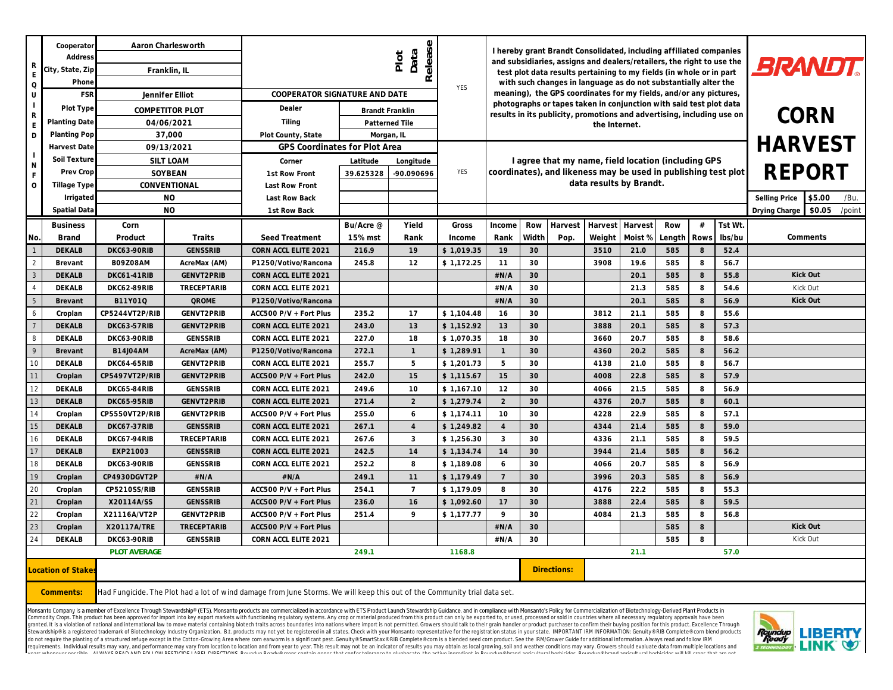| R<br>$\mathsf O$<br>U                                                                                                                                                                                                                                                                                                                                                                                                                                                                                                                                                                                                                                                                                                                                                                                                                                                                                                                                             | Cooperator<br>Addres:<br>City, State, Zip<br>Phon<br>FSR | Aaron Charlesworth<br>Franklin, IL<br>Jennifer Elliot<br>COMPETITOR PLOT<br>04/06/2021 |                    | Release<br>Data<br>Plot<br>COOPERATOR SIGNATURE AND DATE                                                                  |           |                                   | <b>YES</b> | I hereby grant Brandt Consolidated, including affiliated companies<br>and subsidiaries, assigns and dealers/retailers, the right to use the<br>test plot data results pertaining to my fields (in whole or in part<br>with such changes in language as do not substantially alter the<br>meaning), the GPS coordinates for my fields, and/or any pictures,<br>photographs or tapes taken in conjunction with said test plot data |        |         |         |         | <b>BRANDT.</b> |         |                                   |          |
|-------------------------------------------------------------------------------------------------------------------------------------------------------------------------------------------------------------------------------------------------------------------------------------------------------------------------------------------------------------------------------------------------------------------------------------------------------------------------------------------------------------------------------------------------------------------------------------------------------------------------------------------------------------------------------------------------------------------------------------------------------------------------------------------------------------------------------------------------------------------------------------------------------------------------------------------------------------------|----------------------------------------------------------|----------------------------------------------------------------------------------------|--------------------|---------------------------------------------------------------------------------------------------------------------------|-----------|-----------------------------------|------------|----------------------------------------------------------------------------------------------------------------------------------------------------------------------------------------------------------------------------------------------------------------------------------------------------------------------------------------------------------------------------------------------------------------------------------|--------|---------|---------|---------|----------------|---------|-----------------------------------|----------|
| $\mathsf{R}$                                                                                                                                                                                                                                                                                                                                                                                                                                                                                                                                                                                                                                                                                                                                                                                                                                                                                                                                                      | Plot Type<br>Planting Date                               |                                                                                        |                    | Dealer<br>Tiling                                                                                                          |           | Brandt Franklin<br>Patterned Tile |            | results in its publicity, promotions and advertising, including use on<br>the Internet.                                                                                                                                                                                                                                                                                                                                          |        |         |         |         | <b>CORN</b>    |         |                                   |          |
| D                                                                                                                                                                                                                                                                                                                                                                                                                                                                                                                                                                                                                                                                                                                                                                                                                                                                                                                                                                 | Planting Pop                                             | 37,000                                                                                 | Plot County, State | Morgan, IL                                                                                                                |           |                                   |            |                                                                                                                                                                                                                                                                                                                                                                                                                                  |        |         |         |         |                |         |                                   |          |
|                                                                                                                                                                                                                                                                                                                                                                                                                                                                                                                                                                                                                                                                                                                                                                                                                                                                                                                                                                   | Harvest Date                                             |                                                                                        | 09/13/2021         | GPS Coordinates for Plot Area                                                                                             |           |                                   |            |                                                                                                                                                                                                                                                                                                                                                                                                                                  |        |         |         |         | <b>HARVEST</b> |         |                                   |          |
|                                                                                                                                                                                                                                                                                                                                                                                                                                                                                                                                                                                                                                                                                                                                                                                                                                                                                                                                                                   | Soil Texture                                             | SILT LOAM<br>SOYBEAN                                                                   |                    | Corner                                                                                                                    | Latitude  | Longitude                         |            | I agree that my name, field location (including GPS<br>REPORT<br>coordinates), and likeness may be used in publishing test plot                                                                                                                                                                                                                                                                                                  |        |         |         |         |                |         |                                   |          |
| $\mathbb N$                                                                                                                                                                                                                                                                                                                                                                                                                                                                                                                                                                                                                                                                                                                                                                                                                                                                                                                                                       | Prev Crop                                                |                                                                                        |                    | 1st Row Front                                                                                                             | 39.625328 | -90.090696                        | <b>YES</b> |                                                                                                                                                                                                                                                                                                                                                                                                                                  |        |         |         |         |                |         |                                   |          |
| $\circ$                                                                                                                                                                                                                                                                                                                                                                                                                                                                                                                                                                                                                                                                                                                                                                                                                                                                                                                                                           | Tillage Type                                             |                                                                                        | CONVENTIONAL       | Last Row Front                                                                                                            |           |                                   |            | data results by Brandt.<br>Selling Price<br>\$5.00<br>/Bu.                                                                                                                                                                                                                                                                                                                                                                       |        |         |         |         |                |         |                                   |          |
|                                                                                                                                                                                                                                                                                                                                                                                                                                                                                                                                                                                                                                                                                                                                                                                                                                                                                                                                                                   | Irrigated                                                |                                                                                        | <b>NO</b>          | Last Row Back                                                                                                             |           |                                   |            |                                                                                                                                                                                                                                                                                                                                                                                                                                  |        |         |         |         |                |         |                                   |          |
|                                                                                                                                                                                                                                                                                                                                                                                                                                                                                                                                                                                                                                                                                                                                                                                                                                                                                                                                                                   | Spatial Data                                             |                                                                                        | <b>NO</b>          | 1st Row Back                                                                                                              |           |                                   |            |                                                                                                                                                                                                                                                                                                                                                                                                                                  |        |         |         |         |                |         | \$0.05<br>/point<br>Drying Charge |          |
|                                                                                                                                                                                                                                                                                                                                                                                                                                                                                                                                                                                                                                                                                                                                                                                                                                                                                                                                                                   | <b>Business</b>                                          | Corn                                                                                   |                    |                                                                                                                           | Bu/Acre @ | Yield                             | Gross      | Income                                                                                                                                                                                                                                                                                                                                                                                                                           | Row    | Harvest | Harvest | Harvest | Row            | #       | Tst Wt.                           |          |
| No.                                                                                                                                                                                                                                                                                                                                                                                                                                                                                                                                                                                                                                                                                                                                                                                                                                                                                                                                                               | <b>Brand</b>                                             | Product                                                                                | Traits             | Seed Treatment                                                                                                            | 15% mst   | Rank                              | Income     | Rank                                                                                                                                                                                                                                                                                                                                                                                                                             | Width  | Pop.    | Weight  | Moist % | Length         | Rows    | lbs/bu                            | Comments |
|                                                                                                                                                                                                                                                                                                                                                                                                                                                                                                                                                                                                                                                                                                                                                                                                                                                                                                                                                                   | <b>DEKALB</b>                                            | DKC63-90RIB                                                                            | <b>GENSSRIB</b>    | CORN ACCL ELITE 2021                                                                                                      | 216.9     | 19                                | \$1,019.35 | 19                                                                                                                                                                                                                                                                                                                                                                                                                               | 30     |         | 3510    | 21.0    | 585            | 8       | 52.4                              |          |
| $\overline{2}$                                                                                                                                                                                                                                                                                                                                                                                                                                                                                                                                                                                                                                                                                                                                                                                                                                                                                                                                                    | Brevant                                                  | B09Z08AM                                                                               | AcreMax (AM)       | P1250/Votivo/Rancona                                                                                                      | 245.8     | 12                                | \$1,172.25 | 11                                                                                                                                                                                                                                                                                                                                                                                                                               | 30     |         | 3908    | 19.6    | 585            | 8       | 56.7                              |          |
| $\mathbf{3}$                                                                                                                                                                                                                                                                                                                                                                                                                                                                                                                                                                                                                                                                                                                                                                                                                                                                                                                                                      | <b>DEKALB</b>                                            | DKC61-41RIB                                                                            | GENVT2PRIB         | CORN ACCL ELITE 2021                                                                                                      |           |                                   |            | #N/A                                                                                                                                                                                                                                                                                                                                                                                                                             | 30     |         |         | 20.1    | 585            | 8       | 55.8                              | Kick Out |
| $\overline{4}$                                                                                                                                                                                                                                                                                                                                                                                                                                                                                                                                                                                                                                                                                                                                                                                                                                                                                                                                                    | DEKALB                                                   | DKC62-89RIB                                                                            | TRECEPTARIB        | CORN ACCL ELITE 2021                                                                                                      |           |                                   |            | #N/A                                                                                                                                                                                                                                                                                                                                                                                                                             | 30     |         |         | 21.3    | 585            | 8       | 54.6                              | Kick Out |
| $\mathbf 5$                                                                                                                                                                                                                                                                                                                                                                                                                                                                                                                                                                                                                                                                                                                                                                                                                                                                                                                                                       | Brevant                                                  | B11Y01Q                                                                                | <b>QROME</b>       | P1250/Votivo/Rancona                                                                                                      |           |                                   |            | #N/A                                                                                                                                                                                                                                                                                                                                                                                                                             | 30     |         |         | 20.1    | 585            | 8       | 56.9                              | Kick Out |
| 6                                                                                                                                                                                                                                                                                                                                                                                                                                                                                                                                                                                                                                                                                                                                                                                                                                                                                                                                                                 | Croplan                                                  | CP5244VT2P/RIB                                                                         | GENVT2PRIB         | ACC500 P/V + Fort Plus                                                                                                    | 235.2     | 17                                | \$1,104.48 | 16                                                                                                                                                                                                                                                                                                                                                                                                                               | 30     |         | 3812    | 21.1    | 585            | 8       | 55.6                              |          |
| 7                                                                                                                                                                                                                                                                                                                                                                                                                                                                                                                                                                                                                                                                                                                                                                                                                                                                                                                                                                 | <b>DEKALB</b>                                            | DKC63-57RIB                                                                            | GENVT2PRIB         | CORN ACCL ELITE 2021                                                                                                      | 243.0     | 13                                | \$1,152.92 | 13                                                                                                                                                                                                                                                                                                                                                                                                                               | 30     |         | 3888    | 20.1    | 585            | 8       | 57.3                              |          |
| $\,$ 8                                                                                                                                                                                                                                                                                                                                                                                                                                                                                                                                                                                                                                                                                                                                                                                                                                                                                                                                                            | DEKALB                                                   | DKC63-90RIB                                                                            | GENSSRIB           | CORN ACCL ELITE 2021                                                                                                      | 227.0     | 18                                | \$1,070.35 | 18                                                                                                                                                                                                                                                                                                                                                                                                                               | 30     |         | 3660    | 20.7    | 585            | 8       | 58.6                              |          |
| $\circ$                                                                                                                                                                                                                                                                                                                                                                                                                                                                                                                                                                                                                                                                                                                                                                                                                                                                                                                                                           | Brevant                                                  | B14J04AM                                                                               | AcreMax (AM)       | P1250/Votivo/Rancona                                                                                                      | 272.1     | $\overline{1}$                    | \$1,289.91 | $\overline{1}$                                                                                                                                                                                                                                                                                                                                                                                                                   | 30     |         | 4360    | 20.2    | 585            | 8       | 56.2                              |          |
| 10                                                                                                                                                                                                                                                                                                                                                                                                                                                                                                                                                                                                                                                                                                                                                                                                                                                                                                                                                                | DEKALB                                                   | DKC64-65RIB                                                                            | GENVT2PRIB         | CORN ACCL ELITE 2021                                                                                                      | 255.7     | 5                                 | \$1,201.73 | 5                                                                                                                                                                                                                                                                                                                                                                                                                                | 30     |         | 4138    | 21.0    | 585            | 8       | 56.7                              |          |
| 11                                                                                                                                                                                                                                                                                                                                                                                                                                                                                                                                                                                                                                                                                                                                                                                                                                                                                                                                                                | Croplan                                                  | CP5497VT2P/RIB                                                                         | GENVT2PRIB         | ACC500 P/V + Fort Plus                                                                                                    | 242.0     | 15                                | \$1,115.67 | 15                                                                                                                                                                                                                                                                                                                                                                                                                               | 30     |         | 4008    | 22.8    | 585            | 8       | 57.9                              |          |
| 12                                                                                                                                                                                                                                                                                                                                                                                                                                                                                                                                                                                                                                                                                                                                                                                                                                                                                                                                                                | DEKALB                                                   | DKC65-84RIB                                                                            | <b>GENSSRIB</b>    | CORN ACCL ELITE 2021                                                                                                      | 249.6     | 10                                | \$1,167.10 | 12                                                                                                                                                                                                                                                                                                                                                                                                                               | 30     |         | 4066    | 21.5    | 585            | 8       | 56.9                              |          |
| 13                                                                                                                                                                                                                                                                                                                                                                                                                                                                                                                                                                                                                                                                                                                                                                                                                                                                                                                                                                | <b>DEKALB</b>                                            | DKC65-95RIB                                                                            | GENVT2PRIB         | CORN ACCL ELITE 2021                                                                                                      | 271.4     | 2                                 | \$1,279.74 | 2                                                                                                                                                                                                                                                                                                                                                                                                                                | 30     |         | 4376    | 20.7    | 585            | 8       | 60.1                              |          |
| 14                                                                                                                                                                                                                                                                                                                                                                                                                                                                                                                                                                                                                                                                                                                                                                                                                                                                                                                                                                | Croplan                                                  | CP5550VT2P/RIB                                                                         | GENVT2PRIB         | ACC500 P/V + Fort Plus                                                                                                    | 255.0     | 6                                 | \$1,174.11 | 10                                                                                                                                                                                                                                                                                                                                                                                                                               | 30     |         | 4228    | 22.9    | 585            | 8       | 57.1                              |          |
| 15                                                                                                                                                                                                                                                                                                                                                                                                                                                                                                                                                                                                                                                                                                                                                                                                                                                                                                                                                                | <b>DEKALB</b>                                            | DKC67-37RIB                                                                            | GENSSRIB           | CORN ACCL ELITE 2021                                                                                                      | 267.1     | $\overline{4}$                    | \$1,249.82 | $\overline{4}$                                                                                                                                                                                                                                                                                                                                                                                                                   | 30     |         | 4344    | 21.4    | 585            | 8       | 59.0                              |          |
| 16                                                                                                                                                                                                                                                                                                                                                                                                                                                                                                                                                                                                                                                                                                                                                                                                                                                                                                                                                                | DEKALB                                                   | DKC67-94RIB                                                                            | TRECEPTARIB        | CORN ACCL ELITE 2021                                                                                                      | 267.6     | 3                                 | \$1,256.30 | 3                                                                                                                                                                                                                                                                                                                                                                                                                                | 30     |         | 4336    | 21.1    | 585            | 8       | 59.5                              |          |
| 17                                                                                                                                                                                                                                                                                                                                                                                                                                                                                                                                                                                                                                                                                                                                                                                                                                                                                                                                                                | <b>DEKALB</b>                                            | EXP21003                                                                               | <b>GENSSRIB</b>    | CORN ACCL ELITE 2021                                                                                                      | 242.5     | 14                                | \$1,134.74 | 14                                                                                                                                                                                                                                                                                                                                                                                                                               | 30     |         | 3944    | 21.4    | 585            | 8       | 56.2                              |          |
| 18                                                                                                                                                                                                                                                                                                                                                                                                                                                                                                                                                                                                                                                                                                                                                                                                                                                                                                                                                                | DEKALB                                                   | DKC63-90RIB                                                                            | <b>GENSSRIB</b>    | CORN ACCL ELITE 2021                                                                                                      | 252.2     | 8                                 | \$1,189.08 | 6                                                                                                                                                                                                                                                                                                                                                                                                                                | 30     |         | 4066    | 20.7    | 585            | 8       | 56.9                              |          |
| 19                                                                                                                                                                                                                                                                                                                                                                                                                                                                                                                                                                                                                                                                                                                                                                                                                                                                                                                                                                | Croplan                                                  | CP4930DGVT2P                                                                           | #N/A               | #N/A                                                                                                                      | 249.1     | 11                                | \$1.179.49 | $7\overline{ }$                                                                                                                                                                                                                                                                                                                                                                                                                  | 30     |         | 3996    | 20.3    | 585            | 8       | 56.9                              |          |
| 20                                                                                                                                                                                                                                                                                                                                                                                                                                                                                                                                                                                                                                                                                                                                                                                                                                                                                                                                                                | Croplan                                                  | CP5210SS/RIB                                                                           | <b>GENSSRIB</b>    | ACC500 P/V + Fort Plus                                                                                                    | 254.1     | $7\overline{ }$                   | \$1,179.09 | 8                                                                                                                                                                                                                                                                                                                                                                                                                                | 30     |         | 4176    | 22.2    | 585            | 8       | 55.3                              |          |
| 21                                                                                                                                                                                                                                                                                                                                                                                                                                                                                                                                                                                                                                                                                                                                                                                                                                                                                                                                                                | Croplan                                                  | X20114A/SS                                                                             | <b>GENSSRIB</b>    | ACC500 P/V + Fort Plus                                                                                                    | 236.0     | 16                                | \$1,092.60 | 17                                                                                                                                                                                                                                                                                                                                                                                                                               | 30     |         | 3888    | 22.4    | 585            | $\,8\,$ | 59.5                              |          |
| 22                                                                                                                                                                                                                                                                                                                                                                                                                                                                                                                                                                                                                                                                                                                                                                                                                                                                                                                                                                | Croplan                                                  | X21116A/VT2P                                                                           | GENVT2PRIB         | ACC500 P/V + Fort Plus                                                                                                    | 251.4     | 9                                 | \$1,177.77 | 9                                                                                                                                                                                                                                                                                                                                                                                                                                | 30     |         | 4084    | 21.3    | 585            | 8       | 56.8                              |          |
| 23<br>24                                                                                                                                                                                                                                                                                                                                                                                                                                                                                                                                                                                                                                                                                                                                                                                                                                                                                                                                                          | Croplan                                                  | X20117A/TRE                                                                            | TRECEPTARIB        | ACC500 P/V + Fort Plus                                                                                                    |           |                                   |            | #N/A                                                                                                                                                                                                                                                                                                                                                                                                                             | 30     |         |         |         | 585            | 8       |                                   | Kick Out |
|                                                                                                                                                                                                                                                                                                                                                                                                                                                                                                                                                                                                                                                                                                                                                                                                                                                                                                                                                                   | DEKALB                                                   | DKC63-90RIB                                                                            | GENSSRIB           | CORN ACCL ELITE 2021                                                                                                      |           |                                   |            | $\#\mathsf{N}/\mathsf{A}$                                                                                                                                                                                                                                                                                                                                                                                                        | $30\,$ |         |         |         | 585            | 8       |                                   | Kick Out |
|                                                                                                                                                                                                                                                                                                                                                                                                                                                                                                                                                                                                                                                                                                                                                                                                                                                                                                                                                                   |                                                          | <b>PLOT AVERAGE</b>                                                                    |                    | 249.1<br>1168.8                                                                                                           |           |                                   |            | 21.1<br>57.0                                                                                                                                                                                                                                                                                                                                                                                                                     |        |         |         |         |                |         |                                   |          |
| Location of Stake                                                                                                                                                                                                                                                                                                                                                                                                                                                                                                                                                                                                                                                                                                                                                                                                                                                                                                                                                 |                                                          | Directions:                                                                            |                    |                                                                                                                           |           |                                   |            |                                                                                                                                                                                                                                                                                                                                                                                                                                  |        |         |         |         |                |         |                                   |          |
|                                                                                                                                                                                                                                                                                                                                                                                                                                                                                                                                                                                                                                                                                                                                                                                                                                                                                                                                                                   | Comments:                                                |                                                                                        |                    | Had Fungicide. The Plot had a lot of wind damage from June Storms. We will keep this out of the Community trial data set. |           |                                   |            |                                                                                                                                                                                                                                                                                                                                                                                                                                  |        |         |         |         |                |         |                                   |          |
| Monsanto Company is a member of Excellence Through Stewardship® (ETS). Monsanto products are commercialized in accordance with ETS Product Launch Stewardship Guidance, and in compliance with Monsanto's Policy for Commercia<br>Commodity Crops. This product has been approved for import into key export markets with functioning regulatory systems. Any crop or material produced from this product can only be exported to, or used, processed or sold in<br>granted. It is a violation of national and international law to move material containing biotech traits across boundaries into nations where import is not permitted. Growers should talk to their grain handler or product pu<br>Roundup<br>istered trademark of Biotechnology Industry Organization. B.t. products may not yet be registered in all states. Check with your Monsanto representative for the registration status in your state. IMPORTANT IRM INFORMATION<br><b>I IREDTV</b> |                                                          |                                                                                        |                    |                                                                                                                           |           |                                   |            |                                                                                                                                                                                                                                                                                                                                                                                                                                  |        |         |         |         |                |         |                                   |          |

Stewardship® is a registered trademark of Biotechnology Industry Organization. B.t. products may not yet be registered in all states. Check with your Monsanto representative for the registration status in your state. IMPOR